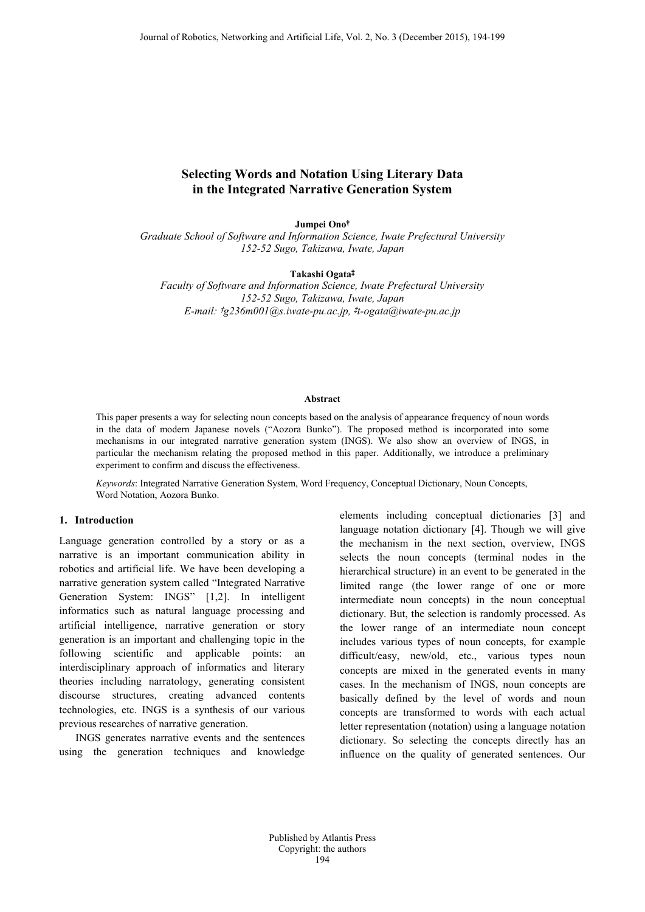# **Selecting Words and Notation Using Literary Data in the Integrated Narrative Generation System**

**Jumpei Ono**†

*Graduate School of Software and Information Science, Iwate Prefectural University 152-52 Sugo, Takizawa, Iwate, Japan*

**Takashi Ogata**‡

*Faculty of Software and Information Science, Iwate Prefectural University 152-52 Sugo, Takizawa, Iwate, Japan E-mail:* † *g236m001@s.iwate-pu.ac.jp,* ‡ *t-ogata@iwate-pu.ac.jp*

### **Abstract**

This paper presents a way for selecting noun concepts based on the analysis of appearance frequency of noun words in the data of modern Japanese novels ("Aozora Bunko"). The proposed method is incorporated into some mechanisms in our integrated narrative generation system (INGS). We also show an overview of INGS, in particular the mechanism relating the proposed method in this paper. Additionally, we introduce a preliminary experiment to confirm and discuss the effectiveness.

*Keywords*: Integrated Narrative Generation System, Word Frequency, Conceptual Dictionary, Noun Concepts, Word Notation, Aozora Bunko.

# **1. Introduction**

Language generation controlled by a story or as a narrative is an important communication ability in robotics and artificial life. We have been developing a narrative generation system called "Integrated Narrative Generation System: INGS" [1,2]. In intelligent informatics such as natural language processing and artificial intelligence, narrative generation or story generation is an important and challenging topic in the following scientific and applicable points: an interdisciplinary approach of informatics and literary theories including narratology, generating consistent discourse structures, creating advanced contents technologies, etc. INGS is a synthesis of our various previous researches of narrative generation.

INGS generates narrative events and the sentences using the generation techniques and knowledge

elements including conceptual dictionaries [3] and language notation dictionary [4]. Though we will give the mechanism in the next section, overview, INGS selects the noun concepts (terminal nodes in the hierarchical structure) in an event to be generated in the limited range (the lower range of one or more intermediate noun concepts) in the noun conceptual dictionary. But, the selection is randomly processed. As the lower range of an intermediate noun concept includes various types of noun concepts, for example difficult/easy, new/old, etc., various types noun concepts are mixed in the generated events in many cases. In the mechanism of INGS, noun concepts are basically defined by the level of words and noun concepts are transformed to words with each actual letter representation (notation) using a language notation dictionary. So selecting the concepts directly has an influence on the quality of generated sentences. Our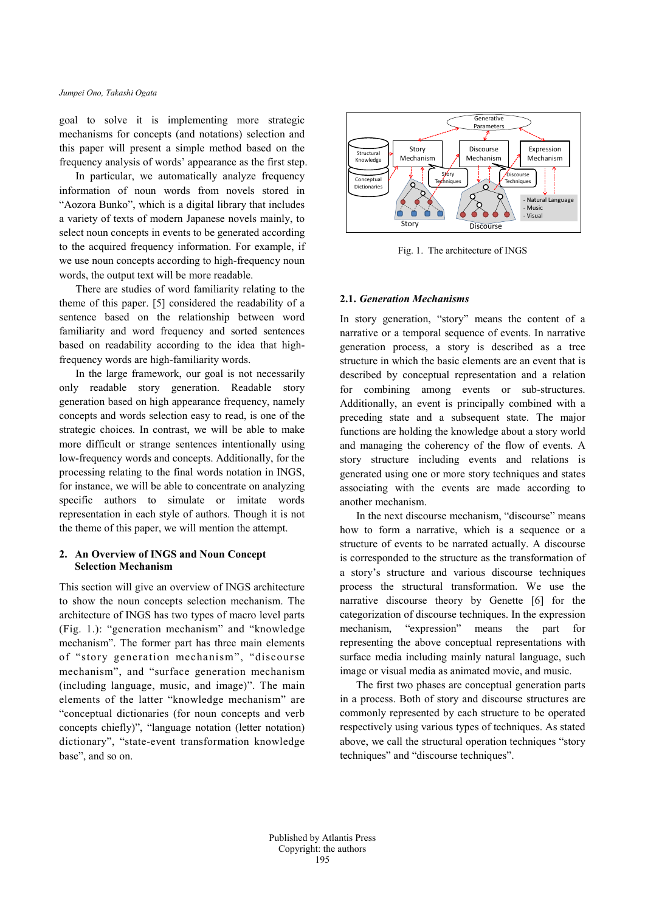goal to solve it is implementing more strategic mechanisms for concepts (and notations) selection and this paper will present a simple method based on the frequency analysis of words' appearance as the first step.

In particular, we automatically analyze frequency information of noun words from novels stored in "Aozora Bunko", which is a digital library that includes a variety of texts of modern Japanese novels mainly, to select noun concepts in events to be generated according to the acquired frequency information. For example, if we use noun concepts according to high-frequency noun words, the output text will be more readable.

There are studies of word familiarity relating to the theme of this paper. [5] considered the readability of a sentence based on the relationship between word familiarity and word frequency and sorted sentences based on readability according to the idea that highfrequency words are high-familiarity words.

In the large framework, our goal is not necessarily only readable story generation. Readable story generation based on high appearance frequency, namely concepts and words selection easy to read, is one of the strategic choices. In contrast, we will be able to make more difficult or strange sentences intentionally using low-frequency words and concepts. Additionally, for the processing relating to the final words notation in INGS, for instance, we will be able to concentrate on analyzing specific authors to simulate or imitate words representation in each style of authors. Though it is not the theme of this paper, we will mention the attempt.

# **2. An Overview of INGS and Noun Concept Selection Mechanism**

This section will give an overview of INGS architecture to show the noun concepts selection mechanism. The architecture of INGS has two types of macro level parts (Fig. 1.): "generation mechanism" and "knowledge mechanism". The former part has three main elements of "story generation mechanism", "discourse mechanism", and "surface generation mechanism (including language, music, and image)". The main elements of the latter "knowledge mechanism" are "conceptual dictionaries (for noun concepts and verb concepts chiefly)", "language notation (letter notation) dictionary", "state-event transformation knowledge base", and so on.



Fig. 1. The architecture of INGS

# **2.1.** *Generation Mechanisms*

In story generation, "story" means the content of a narrative or a temporal sequence of events. In narrative generation process, a story is described as a tree structure in which the basic elements are an event that is described by conceptual representation and a relation for combining among events or sub-structures. Additionally, an event is principally combined with a preceding state and a subsequent state. The major functions are holding the knowledge about a story world and managing the coherency of the flow of events. A story structure including events and relations is generated using one or more story techniques and states associating with the events are made according to another mechanism.

In the next discourse mechanism, "discourse" means how to form a narrative, which is a sequence or a structure of events to be narrated actually. A discourse is corresponded to the structure as the transformation of a story's structure and various discourse techniques process the structural transformation. We use the narrative discourse theory by Genette [6] for the categorization of discourse techniques. In the expression mechanism, "expression" means the part for representing the above conceptual representations with surface media including mainly natural language, such image or visual media as animated movie, and music.

The first two phases are conceptual generation parts in a process. Both of story and discourse structures are commonly represented by each structure to be operated respectively using various types of techniques. As stated above, we call the structural operation techniques "story techniques" and "discourse techniques".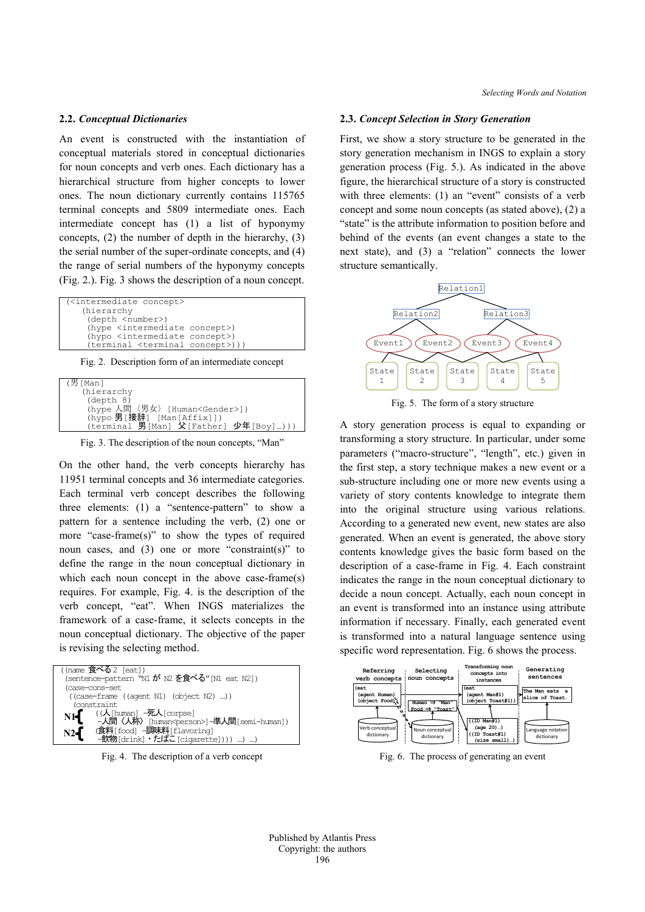#### **2.2.** *Conceptual Dictionaries*

An event is constructed with the instantiation of conceptual materials stored in conceptual dictionaries for noun concepts and verb ones. Each dictionary has a hierarchical structure from higher concepts to lower ones. The noun dictionary currently contains 115765 terminal concepts and 5809 intermediate ones. Each intermediate concept has (1) a list of hyponymy concepts, (2) the number of depth in the hierarchy, (3) the serial number of the super-ordinate concepts, and (4) the range of serial numbers of the hyponymy concepts (Fig. 2.). Fig. 3 shows the description of a noun concept.

| ( <intermediate concept=""></intermediate>      |  |
|-------------------------------------------------|--|
| (hierarchy                                      |  |
| (depth <number>)</number>                       |  |
| (hype <intermediate concept="">)</intermediate> |  |
| (hypo <intermediate concept="">)</intermediate> |  |
| (terminal <terminal concept="">)))</terminal>   |  |
|                                                 |  |

Fig. 2. Description form of an intermediate concept

| (男 [Man]                                |
|-----------------------------------------|
| (hierarchy                              |
| (depth 8)                               |
| (hype 人間〈男女〉 [Human <gender>])</gender> |
| (hypo 男「接辞」 [Man [Affix]])              |
| (terminal 男[Man] 父[Father] 少年[Boy]…)))  |

Fig. 3. The description of the noun concepts, "Man"

On the other hand, the verb concepts hierarchy has 11951 terminal concepts and 36 intermediate categories. Each terminal verb concept describes the following three elements: (1) a "sentence-pattern" to show a pattern for a sentence including the verb, (2) one or more "case-frame(s)" to show the types of required noun cases, and (3) one or more "constraint(s)" to define the range in the noun conceptual dictionary in which each noun concept in the above case-frame(s) requires. For example, Fig. 4. is the description of the verb concept, "eat". When INGS materializes the framework of a case-frame, it selects concepts in the noun conceptual dictionary. The objective of the paper is revising the selecting method.



Fig. 4. The description of a verb concept

#### **2.3.** *Concept Selection in Story Generation*

First, we show a story structure to be generated in the story generation mechanism in INGS to explain a story generation process (Fig. 5.). As indicated in the above figure, the hierarchical structure of a story is constructed with three elements: (1) an "event" consists of a verb concept and some noun concepts (as stated above), (2) a "state" is the attribute information to position before and behind of the events (an event changes a state to the next state), and (3) a "relation" connects the lower structure semantically.



Fig. 5. The form of a story structure

A story generation process is equal to expanding or transforming a story structure. In particular, under some parameters ("macro-structure", "length", etc.) given in the first step, a story technique makes a new event or a sub-structure including one or more new events using a variety of story contents knowledge to integrate them into the original structure using various relations. According to a generated new event, new states are also generated. When an event is generated, the above story contents knowledge gives the basic form based on the description of a case-frame in Fig. 4. Each constraint indicates the range in the noun conceptual dictionary to decide a noun concept. Actually, each noun concept in an event is transformed into an instance using attribute information if necessary. Finally, each generated event is transformed into a natural language sentence using specific word representation. Fig. 6 shows the process.



Fig. 6. The process of generating an event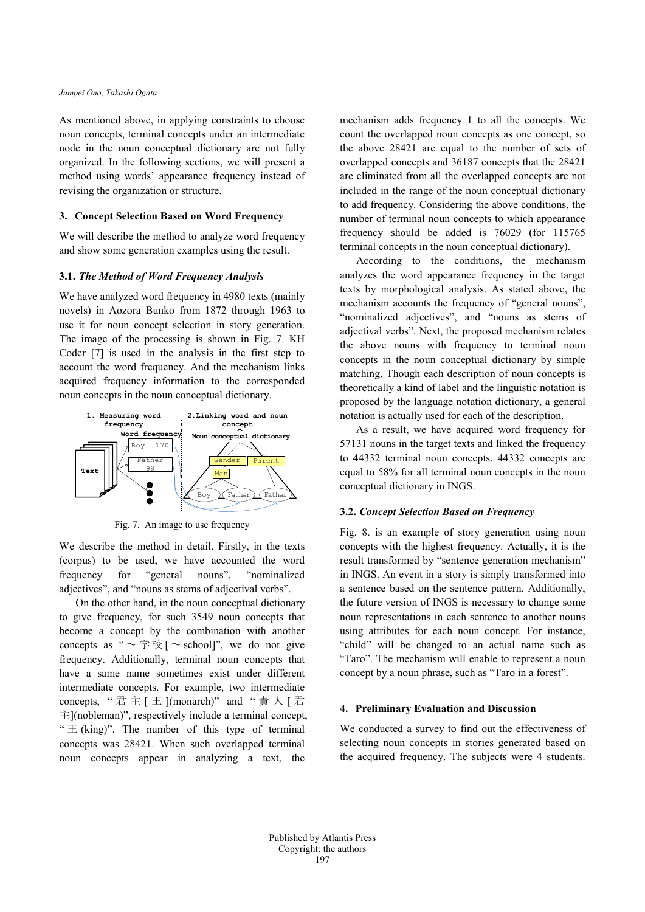#### *Jumpei Ono, Takashi Ogata*

As mentioned above, in applying constraints to choose noun concepts, terminal concepts under an intermediate node in the noun conceptual dictionary are not fully organized. In the following sections, we will present a method using words' appearance frequency instead of revising the organization or structure.

### **3. Concept Selection Based on Word Frequency**

We will describe the method to analyze word frequency and show some generation examples using the result.

### **3.1.** *The Method of Word Frequency Analysis*

We have analyzed word frequency in 4980 texts (mainly novels) in Aozora Bunko from 1872 through 1963 to use it for noun concept selection in story generation. The image of the processing is shown in Fig. 7. KH Coder [7] is used in the analysis in the first step to account the word frequency. And the mechanism links acquired frequency information to the corresponded noun concepts in the noun conceptual dictionary.



Fig. 7. An image to use frequency

We describe the method in detail. Firstly, in the texts (corpus) to be used, we have accounted the word frequency for "general nouns", "nominalized adjectives", and "nouns as stems of adjectival verbs".

On the other hand, in the noun conceptual dictionary to give frequency, for such 3549 noun concepts that become a concept by the combination with another concepts as " $\sim \frac{4}{7} \times [\sim \text{school}]$ ", we do not give frequency. Additionally, terminal noun concepts that have a same name sometimes exist under different intermediate concepts. For example, two intermediate concepts, "君主 [ 王 ](monarch)" and "貴人 [ 君  $\pm$ ](nobleman)", respectively include a terminal concept, "  $\pm$  (king)". The number of this type of terminal concepts was 28421. When such overlapped terminal noun concepts appear in analyzing a text, the

mechanism adds frequency 1 to all the concepts. We count the overlapped noun concepts as one concept, so the above 28421 are equal to the number of sets of overlapped concepts and 36187 concepts that the 28421 are eliminated from all the overlapped concepts are not included in the range of the noun conceptual dictionary to add frequency. Considering the above conditions, the number of terminal noun concepts to which appearance frequency should be added is 76029 (for 115765 terminal concepts in the noun conceptual dictionary).

According to the conditions, the mechanism analyzes the word appearance frequency in the target texts by morphological analysis. As stated above, the mechanism accounts the frequency of "general nouns", "nominalized adjectives", and "nouns as stems of adjectival verbs". Next, the proposed mechanism relates the above nouns with frequency to terminal noun concepts in the noun conceptual dictionary by simple matching. Though each description of noun concepts is theoretically a kind of label and the linguistic notation is proposed by the language notation dictionary, a general notation is actually used for each of the description.

As a result, we have acquired word frequency for 57131 nouns in the target texts and linked the frequency to 44332 terminal noun concepts. 44332 concepts are equal to 58% for all terminal noun concepts in the noun conceptual dictionary in INGS.

### **3.2.** *Concept Selection Based on Frequency*

Fig. 8. is an example of story generation using noun concepts with the highest frequency. Actually, it is the result transformed by "sentence generation mechanism" in INGS. An event in a story is simply transformed into a sentence based on the sentence pattern. Additionally, the future version of INGS is necessary to change some noun representations in each sentence to another nouns using attributes for each noun concept. For instance, "child" will be changed to an actual name such as "Taro". The mechanism will enable to represent a noun concept by a noun phrase, such as "Taro in a forest".

# **4. Preliminary Evaluation and Discussion**

We conducted a survey to find out the effectiveness of selecting noun concepts in stories generated based on the acquired frequency. The subjects were 4 students.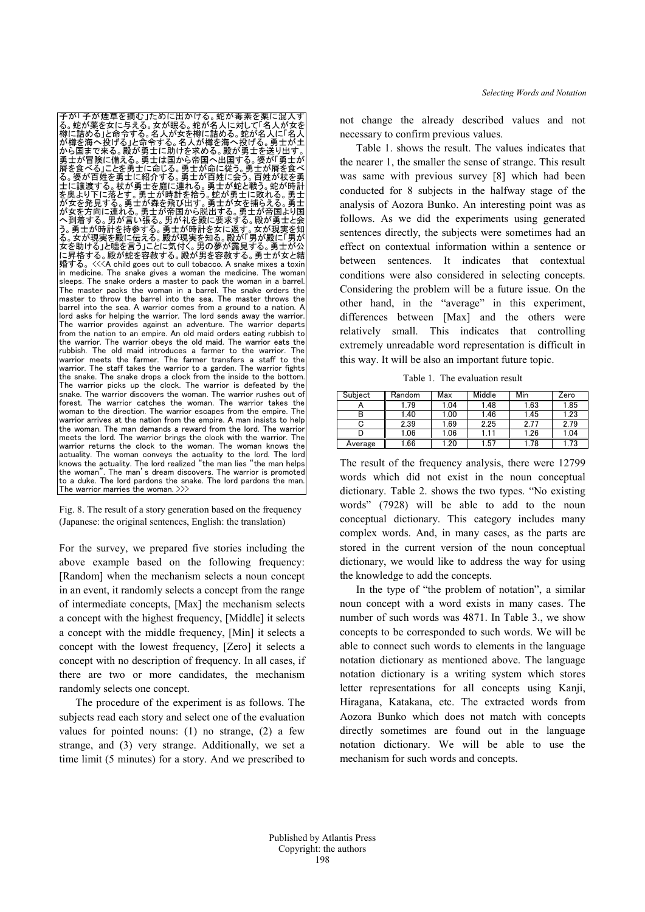

Fig. 8. The result of a story generation based on the frequency (Japanese: the original sentences, English: the translation)

For the survey, we prepared five stories including the above example based on the following frequency: [Random] when the mechanism selects a noun concept in an event, it randomly selects a concept from the range of intermediate concepts, [Max] the mechanism selects a concept with the highest frequency, [Middle] it selects a concept with the middle frequency, [Min] it selects a concept with the lowest frequency, [Zero] it selects a concept with no description of frequency. In all cases, if there are two or more candidates, the mechanism randomly selects one concept.

The procedure of the experiment is as follows. The subjects read each story and select one of the evaluation values for pointed nouns:  $(1)$  no strange,  $(2)$  a few strange, and (3) very strange. Additionally, we set a time limit (5 minutes) for a story. And we prescribed to not change the already described values and not necessary to confirm previous values.

Table 1. shows the result. The values indicates that the nearer 1, the smaller the sense of strange. This result was same with previous survey [8] which had been conducted for 8 subjects in the halfway stage of the analysis of Aozora Bunko. An interesting point was as follows. As we did the experiments using generated sentences directly, the subjects were sometimes had an effect on contextual information within a sentence or between sentences. It indicates that contextual conditions were also considered in selecting concepts. Considering the problem will be a future issue. On the other hand, in the "average" in this experiment, differences between [Max] and the others were relatively small. This indicates that controlling extremely unreadable word representation is difficult in this way. It will be also an important future topic.

Table 1. The evaluation result

| Subject | Random | Max   | Middle | Min  | Zero |
|---------|--------|-------|--------|------|------|
|         | .79    | .04   | 1.48   | 1.63 | 1.85 |
|         | 1.40   | 00. ا | 1.46   | 1.45 | .23  |
|         | 2.39   | .69   | 2.25   | 27   | 2.79 |
|         | 1.06   | 06. ا |        | 1.26 | .04  |
| Average | .66    | .20   | .57    | 78   | 1.73 |

The result of the frequency analysis, there were 12799 words which did not exist in the noun conceptual dictionary. Table 2. shows the two types. "No existing words" (7928) will be able to add to the noun conceptual dictionary. This category includes many complex words. And, in many cases, as the parts are stored in the current version of the noun conceptual dictionary, we would like to address the way for using the knowledge to add the concepts.

In the type of "the problem of notation", a similar noun concept with a word exists in many cases. The number of such words was 4871. In Table 3., we show concepts to be corresponded to such words. We will be able to connect such words to elements in the language notation dictionary as mentioned above. The language notation dictionary is a writing system which stores letter representations for all concepts using Kanji, Hiragana, Katakana, etc. The extracted words from Aozora Bunko which does not match with concepts directly sometimes are found out in the language notation dictionary. We will be able to use the mechanism for such words and concepts.